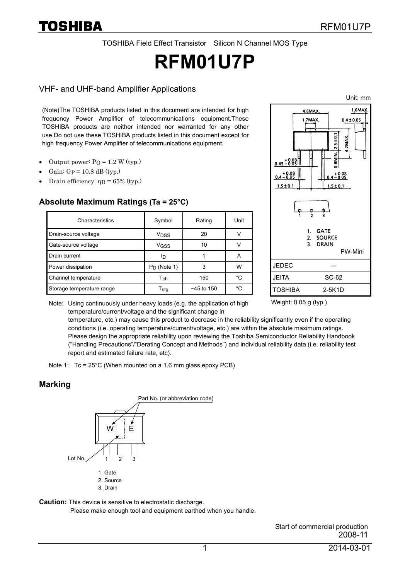TOSHIBA Field Effect Transistor Silicon N Channel MOS Type

# **RFM01U7P**

#### VHF- and UHF-band Amplifier Applications

(Note)The TOSHIBA products listed in this document are intended for high frequency Power Amplifier of telecommunications equipment.These TOSHIBA products are neither intended nor warranted for any other use.Do not use these TOSHIBA products listed in this document except for high frequency Power Amplifier of telecommunications equipment.

- Output power:  $PQ = 1.2 W$  (typ.)
- Gain:  $Gp = 10.8$  dB (typ.)
- Drain efficiency:  $η<sub>D</sub> = 65%$  (typ.)

#### **Absolute Maximum Ratings (Ta = 25°C)**

| Characteristics           | Symbol                      | Rating       | Unit |
|---------------------------|-----------------------------|--------------|------|
| Drain-source voltage      | V <sub>DSS</sub>            | 20           |      |
| Gate-source voltage       | V <sub>GSS</sub>            | 10           |      |
| Drain current             | םי                          |              | А    |
| Power dissipation         | $P_D$ (Note 1)              | 3            | W    |
| Channel temperature       | $\mathsf{T}_{\mathsf{ch}}$  | 150          | °C   |
| Storage temperature range | $\mathsf{T}_{\mathsf{stq}}$ | $-45$ to 150 | °C   |



Note: Using continuously under heavy loads (e.g. the application of high temperature/current/voltage and the significant change in

Weight: 0.05 g (typ.)

temperature, etc.) may cause this product to decrease in the reliability significantly even if the operating conditions (i.e. operating temperature/current/voltage, etc.) are within the absolute maximum ratings. Please design the appropriate reliability upon reviewing the Toshiba Semiconductor Reliability Handbook ("Handling Precautions"/"Derating Concept and Methods") and individual reliability data (i.e. reliability test report and estimated failure rate, etc).

#### **Marking**



**Caution:** This device is sensitive to electrostatic discharge.

Please make enough tool and equipment earthed when you handle.

Start of commercial production 2008-11

Note 1: Tc = 25°C (When mounted on a 1.6 mm glass epoxy PCB)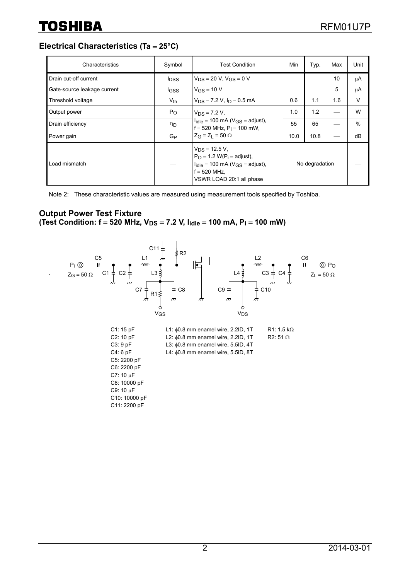**Electrical Characteristics (Ta** = **25°C)**

| Characteristics             | Symbol                  | Test Condition                                                                                                                                   | Min            | Typ. | Max | Unit |
|-----------------------------|-------------------------|--------------------------------------------------------------------------------------------------------------------------------------------------|----------------|------|-----|------|
| Drain cut-off current       | <b>I</b> <sub>DSS</sub> | $V_{DS} = 20 V$ , $V_{GS} = 0 V$                                                                                                                 |                |      | 10  | μA   |
| Gate-source leakage current | l <sub>GSS</sub>        | $V$ <sub>GS</sub> = 10 V                                                                                                                         |                |      | 5   | μA   |
| Threshold voltage           | $V_{th}$                | $V_{DS}$ = 7.2 V, $I_D$ = 0.5 mA                                                                                                                 | 0.6            | 1.1  | 1.6 | V    |
| Output power                | $P_{O}$                 | $V_{DS} = 7.2 V,$<br>$I_{idle}$ = 100 mA ( $V_{GS}$ = adjust),<br>$f = 520$ MHz, $P_i = 100$ mW,                                                 | 1.0            | 1.2  |     | W    |
| Drain efficiency            | ηD                      |                                                                                                                                                  | 55             | 65   |     | $\%$ |
| Power gain                  | G <sub>P</sub>          | $Z_G = Z_1 = 50 \Omega$                                                                                                                          | 10.0           | 10.8 |     | dB   |
| Load mismatch               |                         | $V_{DS}$ = 12.5 V,<br>$P_O = 1.2$ W( $P_i =$ adjust),<br>$I_{idle}$ = 100 mA ( $V_{GS}$ = adjust),<br>$f = 520$ MHz.<br>VSWR LOAD 20:1 all phase | No degradation |      |     |      |

Note 2: These characteristic values are measured using measurement tools specified by Toshiba.

## **Output Power Test Fixture**

(Test Condition: f = 520 MHz, V<sub>DS</sub> = 7.2 V, I<sub>idle</sub> = 100 mA, P<sub>i</sub> = 100 mW)

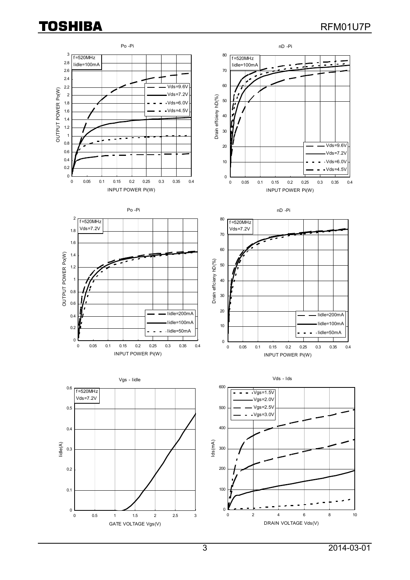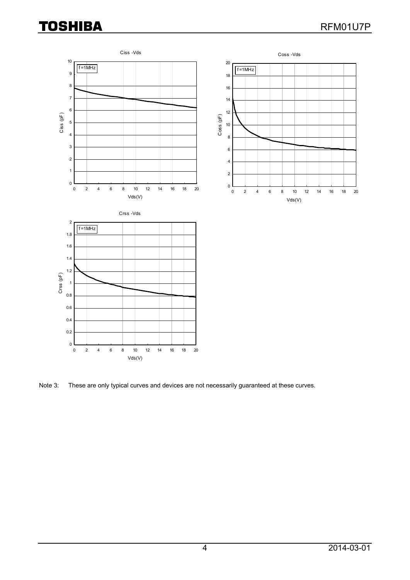# **TOSHIBA**



Note 3: These are only typical curves and devices are not necessarily guaranteed at these curves.